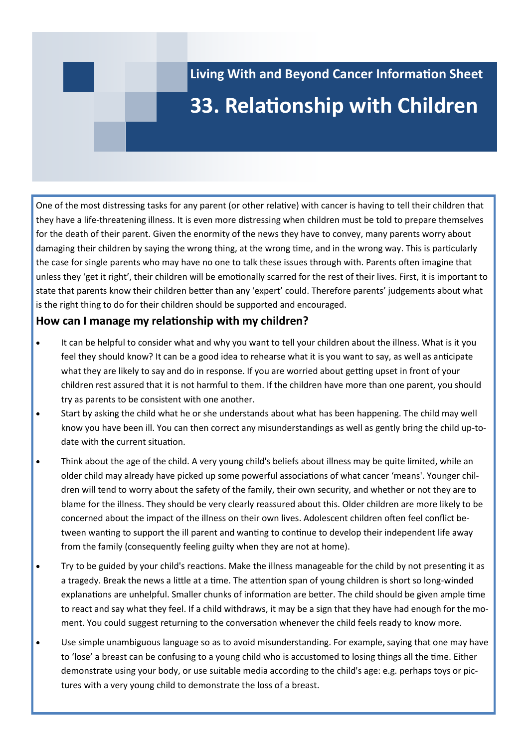# **Living With and Beyond Cancer Information Sheet 33. Relationship with Children**

One of the most distressing tasks for any parent (or other relative) with cancer is having to tell their children that they have a life-threatening illness. It is even more distressing when children must be told to prepare themselves for the death of their parent. Given the enormity of the news they have to convey, many parents worry about damaging their children by saying the wrong thing, at the wrong time, and in the wrong way. This is particularly the case for single parents who may have no one to talk these issues through with. Parents often imagine that unless they 'get it right', their children will be emotionally scarred for the rest of their lives. First, it is important to state that parents know their children better than any 'expert' could. Therefore parents' judgements about what is the right thing to do for their children should be supported and encouraged.

### **How can I manage my relationship with my children?**

- It can be helpful to consider what and why you want to tell your children about the illness. What is it you feel they should know? It can be a good idea to rehearse what it is you want to say, as well as anticipate what they are likely to say and do in response. If you are worried about getting upset in front of your children rest assured that it is not harmful to them. If the children have more than one parent, you should try as parents to be consistent with one another.
- Start by asking the child what he or she understands about what has been happening. The child may well know you have been ill. You can then correct any misunderstandings as well as gently bring the child up-todate with the current situation.
- Think about the age of the child. A very young child's beliefs about illness may be quite limited, while an older child may already have picked up some powerful associations of what cancer 'means'. Younger children will tend to worry about the safety of the family, their own security, and whether or not they are to blame for the illness. They should be very clearly reassured about this. Older children are more likely to be concerned about the impact of the illness on their own lives. Adolescent children often feel conflict between wanting to support the ill parent and wanting to continue to develop their independent life away from the family (consequently feeling guilty when they are not at home).
- Try to be guided by your child's reactions. Make the illness manageable for the child by not presenting it as a tragedy. Break the news a little at a time. The attention span of young children is short so long-winded explanations are unhelpful. Smaller chunks of information are better. The child should be given ample time to react and say what they feel. If a child withdraws, it may be a sign that they have had enough for the moment. You could suggest returning to the conversation whenever the child feels ready to know more.
- Use simple unambiguous language so as to avoid misunderstanding. For example, saying that one may have to 'lose' a breast can be confusing to a young child who is accustomed to losing things all the time. Either demonstrate using your body, or use suitable media according to the child's age: e.g. perhaps toys or pictures with a very young child to demonstrate the loss of a breast.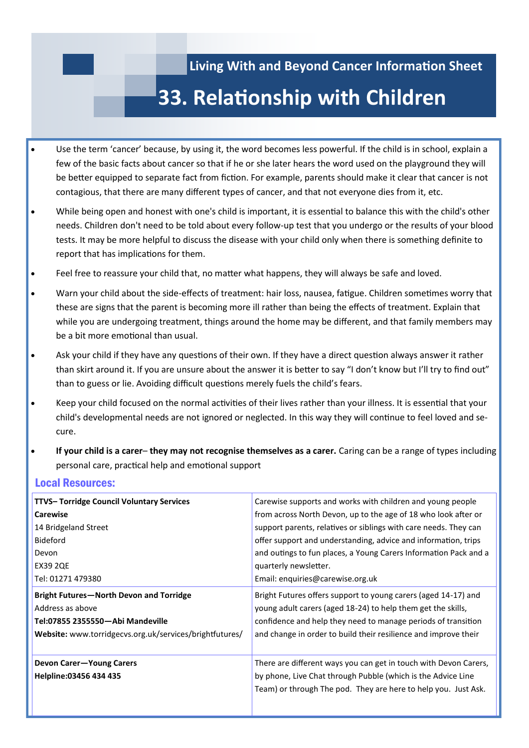## **Living With and Beyond Cancer Information Sheet**

# **33. Relationship with Children**

- Use the term 'cancer' because, by using it, the word becomes less powerful. If the child is in school, explain a few of the basic facts about cancer so that if he or she later hears the word used on the playground they will be better equipped to separate fact from fiction. For example, parents should make it clear that cancer is not contagious, that there are many different types of cancer, and that not everyone dies from it, etc.
- While being open and honest with one's child is important, it is essential to balance this with the child's other needs. Children don't need to be told about every follow-up test that you undergo or the results of your blood tests. It may be more helpful to discuss the disease with your child only when there is something definite to report that has implications for them.
- Feel free to reassure your child that, no matter what happens, they will always be safe and loved.
- Warn your child about the side-effects of treatment: hair loss, nausea, fatigue. Children sometimes worry that these are signs that the parent is becoming more ill rather than being the effects of treatment. Explain that while you are undergoing treatment, things around the home may be different, and that family members may be a bit more emotional than usual.
- Ask your child if they have any questions of their own. If they have a direct question always answer it rather than skirt around it. If you are unsure about the answer it is better to say "I don't know but I'll try to find out" than to guess or lie. Avoiding difficult questions merely fuels the child's fears.
- Keep your child focused on the normal activities of their lives rather than your illness. It is essential that your child's developmental needs are not ignored or neglected. In this way they will continue to feel loved and secure.
- **If your child is a carer they may not recognise themselves as a carer.** Caring can be a range of types including personal care, practical help and emotional support

## Local Resources:

| TTVS-Torridge Council Voluntary Services                | Carewise supports and works with children and young people                                                                                                                                         |
|---------------------------------------------------------|----------------------------------------------------------------------------------------------------------------------------------------------------------------------------------------------------|
| <b>Carewise</b>                                         | from across North Devon, up to the age of 18 who look after or                                                                                                                                     |
| 14 Bridgeland Street                                    | support parents, relatives or siblings with care needs. They can                                                                                                                                   |
| <b>Bideford</b>                                         | offer support and understanding, advice and information, trips                                                                                                                                     |
| Devon                                                   | and outings to fun places, a Young Carers Information Pack and a                                                                                                                                   |
| <b>EX39 2QE</b>                                         | quarterly newsletter.                                                                                                                                                                              |
| Tel: 01271 479380                                       | Email: enquiries@carewise.org.uk                                                                                                                                                                   |
| <b>Bright Futures-North Devon and Torridge</b>          | Bright Futures offers support to young carers (aged 14-17) and                                                                                                                                     |
| Address as above                                        | young adult carers (aged 18-24) to help them get the skills,                                                                                                                                       |
| Tel:07855 2355550-Abi Mandeville                        | confidence and help they need to manage periods of transition                                                                                                                                      |
| Website: www.torridgecvs.org.uk/services/brightfutures/ | and change in order to build their resilience and improve their                                                                                                                                    |
| Devon Carer-Young Carers<br>Helpline:03456 434 435      | There are different ways you can get in touch with Devon Carers,<br>by phone, Live Chat through Pubble (which is the Advice Line<br>Team) or through The pod. They are here to help you. Just Ask. |